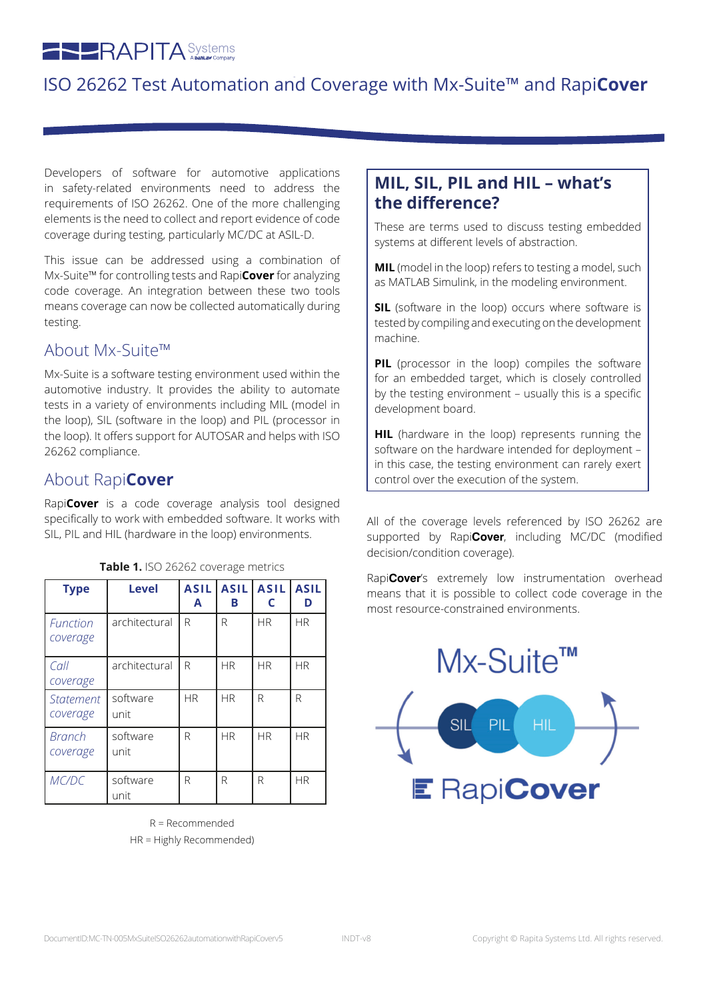# **RAPITA** Systems

# ISO 26262 Test Automation and Coverage with Mx-Suite™ and Rapi**Cover**

Developers of software for automotive applications in safety-related environments need to address the requirements of ISO 26262. One of the more challenging elements is the need to collect and report evidence of code coverage during testing, particularly MC/DC at ASIL-D.

This issue can be addressed using a combination of Mx-Suite™ for controlling tests and Rapi**Cover** for analyzing code coverage. An integration between these two tools means coverage can now be collected automatically during testing.

#### About Mx-Suite™

Mx-Suite is a software testing environment used within the automotive industry. It provides the ability to automate tests in a variety of environments including MIL (model in the loop), SIL (software in the loop) and PIL (processor in the loop). It offers support for AUTOSAR and helps with ISO 26262 compliance.

#### About Rapi**Cover**

Rapi**Cover** is a code coverage analysis tool designed specifically to work with embedded software. It works with SIL, PIL and HIL (hardware in the loop) environments.

| <b>Type</b>             | <b>Level</b>     | <b>ASIL</b><br>A | <b>ASIL</b><br>в | ASIL <br>C | <b>ASIL</b><br>D |
|-------------------------|------------------|------------------|------------------|------------|------------------|
| Function<br>coverage    | architectural    | R                | R                | <b>HR</b>  | <b>HR</b>        |
| $ $ Call<br>coverage    | architectural    | R                | <b>HR</b>        | <b>HR</b>  | <b>HR</b>        |
| l Statement<br>coverage | software<br>unit | <b>HR</b>        | <b>HR</b>        | R          | R                |
| Branch<br>coverage      | software<br>unit | R                | <b>HR</b>        | <b>HR</b>  | <b>HR</b>        |
| MC/DC                   | software<br>unit | R                | R                | R          | HR.              |

**Table 1.** ISO 26262 coverage metrics

R = Recommended HR = Highly Recommended)

#### **MIL, SIL, PIL and HIL – what's the difference?**

These are terms used to discuss testing embedded systems at different levels of abstraction.

**MIL** (model in the loop) refers to testing a model, such as MATLAB Simulink, in the modeling environment.

**SIL** (software in the loop) occurs where software is tested by compiling and executing on the development machine.

**PIL** (processor in the loop) compiles the software for an embedded target, which is closely controlled by the testing environment – usually this is a specific development board.

**HIL** (hardware in the loop) represents running the software on the hardware intended for deployment – in this case, the testing environment can rarely exert control over the execution of the system.

All of the coverage levels referenced by ISO 26262 are supported by Rapi**Cover**, including MC/DC (modified decision/condition coverage).

Rapi**Cover**'s extremely low instrumentation overhead means that it is possible to collect code coverage in the most resource-constrained environments.